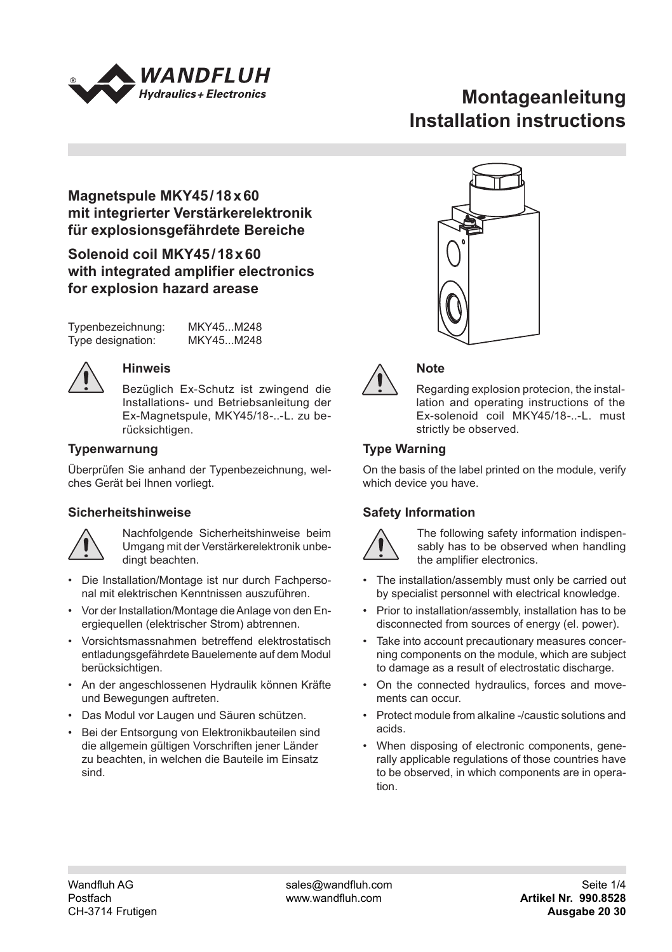

# **Montageanleitung Installation instructions**

# **Magnetspule MKY45/18x60 mit integrierter Verstärkerelektronik für explosionsgefährdete Bereiche**

# **Solenoid coil MKY45/18x60 with integrated amplifier electronics for explosion hazard arease**

Typenbezeichnung: MKY45...M248 Type designation:

# **Hinweis**

Bezüglich Ex-Schutz ist zwingend die Installations- und Betriebsanleitung der Ex-Magnetspule, MKY45/18-..-L. zu berücksichtigen.

# **Typenwarnung**

Überprüfen Sie anhand der Typenbezeichnung, welches Gerät bei Ihnen vorliegt.

# **Sicherheitshinweise**



Nachfolgende Sicherheitshinweise beim Umgang mit der Verstärkerelektronik unbedingt beachten.

- Die Installation/Montage ist nur durch Fachpersonal mit elektrischen Kenntnissen auszuführen.
- Vor der Installation/Montage die Anlage von den Energiequellen (elektrischer Strom) abtrennen.
- Vorsichtsmassnahmen betreffend elektrostatisch 124 entladungsgefährdete Bauelemente auf dem Modul 42 berücksichtigen.
- An der angeschlossenen Hydraulik können Kräfte 22.5 und Bewegungen auftreten.
- Das Modul vor Laugen und Säuren schützen. 45
- Bei der Entsorgung von Elektronikbauteilen sind 45 die allgemein gültigen Vorschriften jener Länder zu beachten, in welchen die Bauteile im Einsatz sind.





# **Note**

Regarding explosion protecion, the installation and operating instructions of the Ex-solenoid coil MKY45/18--L. must strictly be observed.

# **Type Warning**

On the basis of the label printed on the module, verify which device you have.

# **Safety Information**



The following safety information indispen-\ sably has to be observed when handling the amplifier electronics.

- The installation/assembly must only be carried out by specialist personnel with electrical knowledge.
- Prior to installation/assembly, installation has to be disconnected from sources of energy (el. power).
- Take into account precautionary measures concer-Take into account precautionary measures concer-<br>ning components on the module, which are subject to damage as a result of electrostatic discharge.
- On the connected hydraulics, forces and movements can occur.
- Protect module from alkaline -/caustic solutions and acids.
- When disposing of electronic components, generally applicable regulations of those countries have to be observed, in which components are in operation.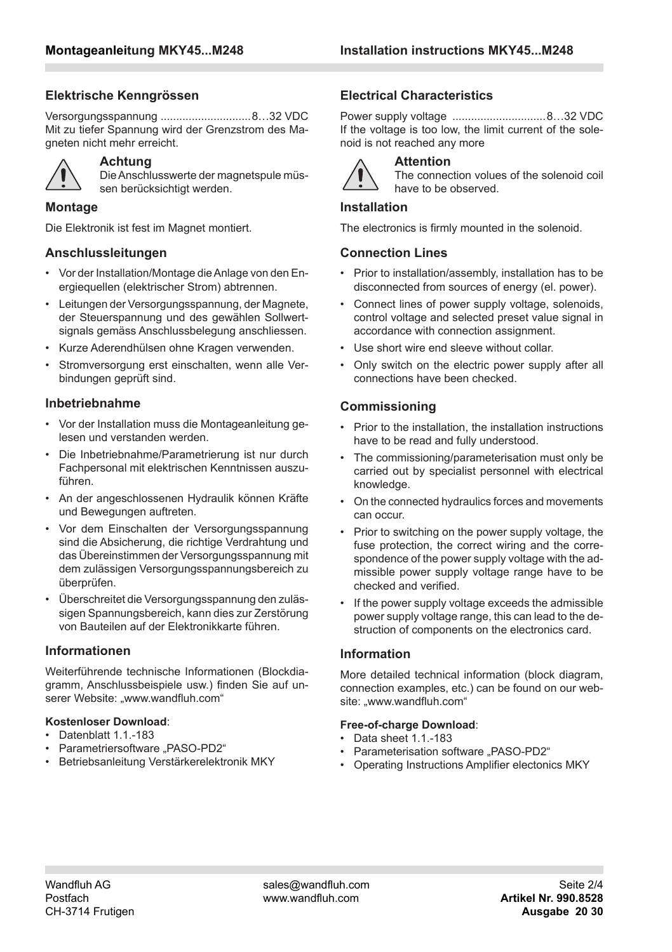### **Elektrische Kenngrössen**

Versorgungsspannung .............................8…32 VDC Mit zu tiefer Spannung wird der Grenzstrom des Magneten nicht mehr erreicht.



#### **Achtung**

Die Anschlusswerte der magnetspule müssen berücksichtigt werden.

#### **Montage**

Die Elektronik ist fest im Magnet montiert.

### **Anschlussleitungen**

- Vor der Installation/Montage die Anlage von den Energiequellen (elektrischer Strom) abtrennen.
- Leitungen der Versorgungsspannung, der Magnete, der Steuerspannung und des gewählen Sollwertsignals gemäss Anschlussbelegung anschliessen.
- Kurze Aderendhülsen ohne Kragen verwenden.
- Stromversorgung erst einschalten, wenn alle Verbindungen geprüft sind.

#### **Inbetriebnahme**

- Vor der Installation muss die Montageanleitung gelesen und verstanden werden.
- Die Inbetriebnahme/Parametrierung ist nur durch Fachpersonal mit elektrischen Kenntnissen auszuführen.
- An der angeschlossenen Hydraulik können Kräfte und Bewegungen auftreten.
- Vor dem Einschalten der Versorgungsspannung sind die Absicherung, die richtige Verdrahtung und das Übereinstimmen der Versorgungsspannung mit dem zulässigen Versorgungsspannungsbereich zu überprüfen.
- Überschreitet die Versorgungsspannung den zulässigen Spannungsbereich, kann dies zur Zerstörung von Bauteilen auf der Elektronikkarte führen.

### **Informationen**

Weiterführende technische Informationen (Blockdiagramm, Anschlussbeispiele usw.) finden Sie auf unserer Website: "www.wandfluh.com"

# **Kostenloser Download**:

- $\cdot$  Datenblatt 1 1 -183
- Parametriersoftware "PASO-PD2"
- Betriebsanleitung Verstärkerelektronik MKY

# **Electrical Characteristics**

Power supply voltage ..............................8…32 VDC If the voltage is too low, the limit current of the solenoid is not reached any more



#### **Attention**

The connection volues of the solenoid coil have to be observed.

#### **Installation**

The electronics is firmly mounted in the solenoid.

#### **Connection Lines**

- Prior to installation/assembly, installation has to be disconnected from sources of energy (el. power).
- Connect lines of power supply voltage, solenoids, control voltage and selected preset value signal in accordance with connection assignment.
- Use short wire end sleeve without collar.
- Only switch on the electric power supply after all connections have been checked.

# **Commissioning**

- Prior to the installation, the installation instructions have to be read and fully understood.
- The commissioning/parameterisation must only be carried out by specialist personnel with electrical knowledge.
- On the connected hydraulics forces and movements can occur.
- Prior to switching on the power supply voltage, the fuse protection, the correct wiring and the correspondence of the power supply voltage with the admissible power supply voltage range have to be checked and verified.
- If the power supply voltage exceeds the admissible power supply voltage range, this can lead to the destruction of components on the electronics card.

#### **Information**

More detailed technical information (block diagram, connection examples, etc.) can be found on our website: "www.wandfluh.com"

#### **Free-of-charge Download**:

- Data sheet 1 1 -183
- Parameterisation software "PASO-PD2"
- Operating Instructions Amplifier electonics MKY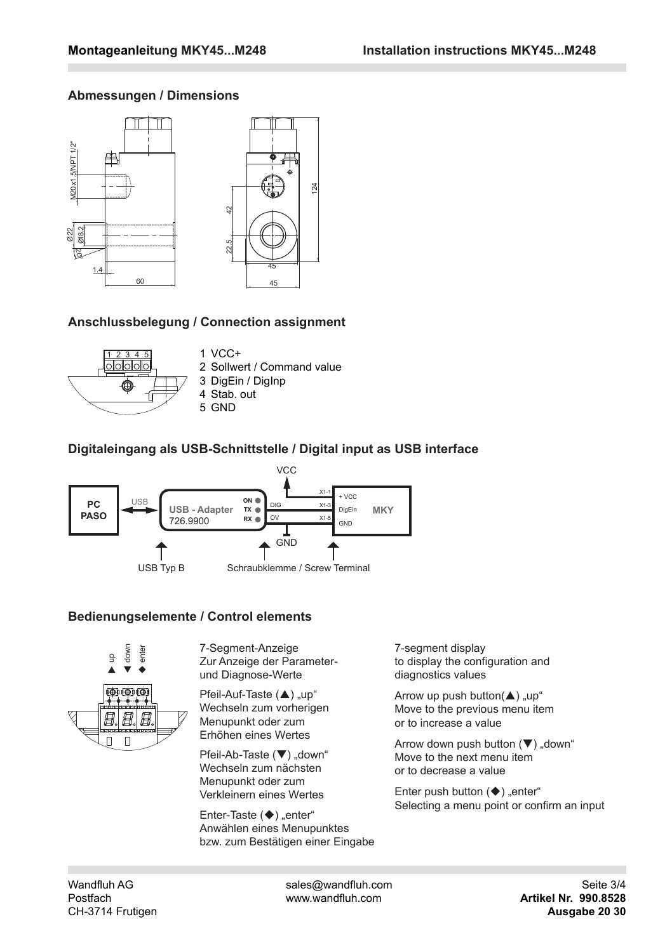# **Abmessungen / Dimensions**



# **Anschlussbelegung / Connection assignment**



 $1$  VCC+ 2 Sollwert / Command value 3 DigEin / DigInp 4 Stab. out 5 GND

# **Digitaleingang als USB-Schnittstelle / Digital input as USB interface**



# **Bedienungselemente / Control elements**



7-Segment-Anzeige Zur Anzeige der Parameterund Diagnose-Werte

Pfeil-Auf-Taste ( $\blacktriangle$ ) "up" Wechseln zum vorherigen Menupunkt oder zum Erhöhen eines Wertes

Pfeil-Ab-Taste (▼) "down" Wechseln zum nächsten Menupunkt oder zum Verkleinern eines Wertes

Enter-Taste  $(\blacklozenge)$  "enter" Anwählen eines Menupunktes bzw. zum Bestätigen einer Eingabe 7-segment display to display the configuration and diagnostics values

Arrow up push button( $\blacktriangle$ ) "up" Move to the previous menu item or to increase a value

Arrow down push button  $(\blacktriangledown)$  "down" Move to the next menu item or to decrease a value

Enter push button  $(\blacklozenge)$  "enter" Selecting a menu point or confirm an input

Wandfluh AG sales@wandfluh.com Seite 3/4